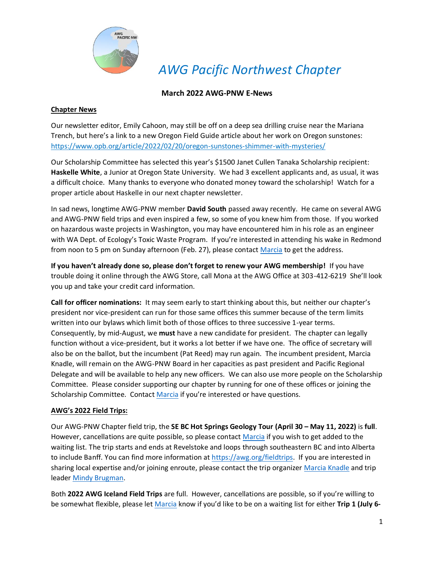

*AWG Pacific Northwest Chapter*

## **March 2022 AWG-PNW E-News**

#### **Chapter News**

Our newsletter editor, Emily Cahoon, may still be off on a deep sea drilling cruise near the Mariana Trench, but here's a link to a new Oregon Field Guide article about her work on Oregon sunstones: <https://www.opb.org/article/2022/02/20/oregon-sunstones-shimmer-with-mysteries/>

Our Scholarship Committee has selected this year's \$1500 Janet Cullen Tanaka Scholarship recipient: **Haskelle White**, a Junior at Oregon State University. We had 3 excellent applicants and, as usual, it was a difficult choice. Many thanks to everyone who donated money toward the scholarship! Watch for a proper article about Haskelle in our next chapter newsletter.

In sad news, longtime AWG-PNW member **David South** passed away recently. He came on several AWG and AWG-PNW field trips and even inspired a few, so some of you knew him from those. If you worked on hazardous waste projects in Washington, you may have encountered him in his role as an engineer with WA Dept. of Ecology's Toxic Waste Program. If you're interested in attending his wake in Redmond from noon to 5 pm on Sunday afternoon (Feb. 27), please contact [Marcia](mailto:president@awgpnw.org) to get the address.

**If you haven't already done so, please don't forget to renew your AWG membership!** If you have trouble doing it online through the AWG Store, call Mona at the AWG Office at 303-412-6219 She'll look you up and take your credit card information.

**Call for officer nominations:** It may seem early to start thinking about this, but neither our chapter's president nor vice-president can run for those same offices this summer because of the term limits written into our bylaws which limit both of those offices to three successive 1-year terms. Consequently, by mid-August, we **must** have a new candidate for president. The chapter can legally function without a vice-president, but it works a lot better if we have one. The office of secretary will also be on the ballot, but the incumbent (Pat Reed) may run again. The incumbent president, Marcia Knadle, will remain on the AWG-PNW Board in her capacities as past president and Pacific Regional Delegate and will be available to help any new officers. We can also use more people on the Scholarship Committee. Please consider supporting our chapter by running for one of these offices or joining the Scholarship Committee. Contact [Marcia](mailto:president@awgpnw.org) if you're interested or have questions.

### **AWG's 2022 Field Trips:**

Our AWG-PNW Chapter field trip, the **SE BC Hot Springs Geology Tour (April 30 – May 11, 2022)** is **full**. However, cancellations are quite possible, so please contact [Marcia](mailto:president@awgpnw.org) if you wish to get added to the waiting list. The trip starts and ends at Revelstoke and loops through southeastern BC and into Alberta to include Banff. You can find more information at [https://awg.org/fieldtrips.](https://awg.org/fieldtrips) If you are interested in sharing local expertise and/or joining enroute, please contact the trip organizer [Marcia Knadle](mailto:president@awgpnw.org) and trip leader [Mindy Brugman.](mailto:brugmanm@telus.net)

Both **2022 AWG Iceland Field Trips** are full. However, cancellations are possible, so if you're willing to be somewhat flexible, please let [Marcia](mailto:president@awgpnw.org) know if you'd like to be on a waiting list for either **Trip 1 (July 6-**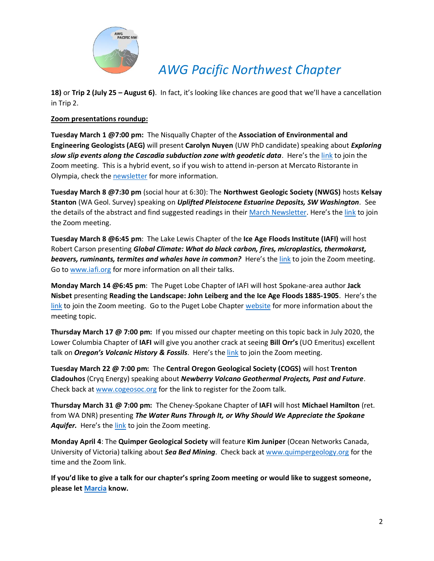

# *AWG Pacific Northwest Chapter*

**18)** or **Trip 2 (July 25 – August 6)**. In fact, it's looking like chances are good that we'll have a cancellation in Trip 2.

### **Zoom presentations roundup:**

**Tuesday March 1 @7:00 pm:** The Nisqually Chapter of the **Association of Environmental and Engineering Geologists (AEG)** will present **Carolyn Nuyen** (UW PhD candidate) speaking about *Exploring slow slip events along the Cascadia subduction zone with geodetic data*. Here's the [link](https://us02web.zoom.us/j/5468085690?pwd=Q3dWUkc4SUYyQVNHQjZuRFNNS2pndz09) to join the Zoom meeting. This is a hybrid event, so if you wish to attend in-person at Mercato Ristorante in Olympia, check the [newsletter](https://mcusercontent.com/c7dc680f16f7a5838198e1184/files/3347c72b-f31c-8145-3abb-4304cc434cdf/AEG_Nisqually_March_Newsletter.01.pdf) for more information.

**Tuesday March 8 @7:30 pm** (social hour at 6:30): The **Northwest Geologic Society (NWGS)** hosts **Kelsay Stanton** (WA Geol. Survey) speaking on *Uplifted Pleistocene Estuarine Deposits, SW Washington*. See the details of the abstract and find suggested readings in their [March Newsletter.](https://nwgs.us3.list-manage.com/track/click?u=fa0b4f1dc42f267466045d4be&id=0cc97c35fe&e=957ca68ef4) Here's the [link](https://us02web.zoom.us/j/5461026781?pwd=aWw3Vk5VT1A2T1hKZEJjOEFocmNKdz09) to join the Zoom meeting.

**Tuesday March 8 @6:45 pm**: The Lake Lewis Chapter of the **Ice Age Floods Institute (IAFI)** will host Robert Carson presenting *Global Climate: What do black carbon, fires, microplastics, thermokarst, beavers, ruminants, termites and whales have in common?* Here's the [link](https://us02web.zoom.us/j/89720246800?pwd=Ukc0Q0JHcTJxdTFsdFRqZi9lcEJhQT09) to join the Zoom meeting. Go to [www.iafi.org](http://www.iafi.org/) for more information on all their talks.

**Monday March 14 @6:45 pm**: The Puget Lobe Chapter of IAFI will host Spokane-area author **Jack Nisbet** presenting **Reading the Landscape: John Leiberg and the Ice Age Floods 1885-1905**. Here's the [link](https://us02web.zoom.us/j/82985244730) to join the Zoom meeting. Go to the Puget Lobe Chapter [website](https://iafi.org/puget-lobe-chapter/) for more information about the meeting topic.

**Thursday March 17 @ 7:00 pm:** If you missed our chapter meeting on this topic back in July 2020, the Lower Columbia Chapter of **IAFI** will give you another crack at seeing **Bill Orr's** (UO Emeritus) excellent talk on *Oregon's Volcanic History & Fossils*. Here's the [link](https://us02web.zoom.us/j/89331930831?pwd=enMxN1doc083dDNPTnZWaElrblpidz09) to join the Zoom meeting.

**Tuesday March 22 @ 7:00 pm:** The **Central Oregon Geological Society (COGS)** will host **Trenton Cladouhos** (Cryq Energy) speaking about *Newberry Volcano Geothermal Projects, Past and Future*. Check back at [www.cogeosoc.org](http://www.cogeosoc.org/) for the link to register for the Zoom talk.

**Thursday March 31 @ 7:00 pm:** The Cheney-Spokane Chapter of **IAFI** will host **Michael Hamilton** (ret. from WA DNR) presenting *The Water Runs Through It, or Why Should We Appreciate the Spokane Aquifer.* Here's the [link](Zoom%20Meeting%20link:%20https:/us02web.zoom.us/j/82268894818?pwd=bmdDMW02U3NFV3FFRmNiZmZnQVR4Zz09) to join the Zoom meeting.

**Monday April 4**: The **Quimper Geological Society** will feature **Kim Juniper** (Ocean Networks Canada, University of Victoria) talking about *Sea Bed Mining*. Check back a[t www.quimpergeology.org](http://www.quimpergeology.org/) for the time and the Zoom link.

**If you'd like to give a talk for our chapter's spring Zoom meeting or would like to suggest someone, please le[t Marcia](mailto:president@awgpnw.org) know.**